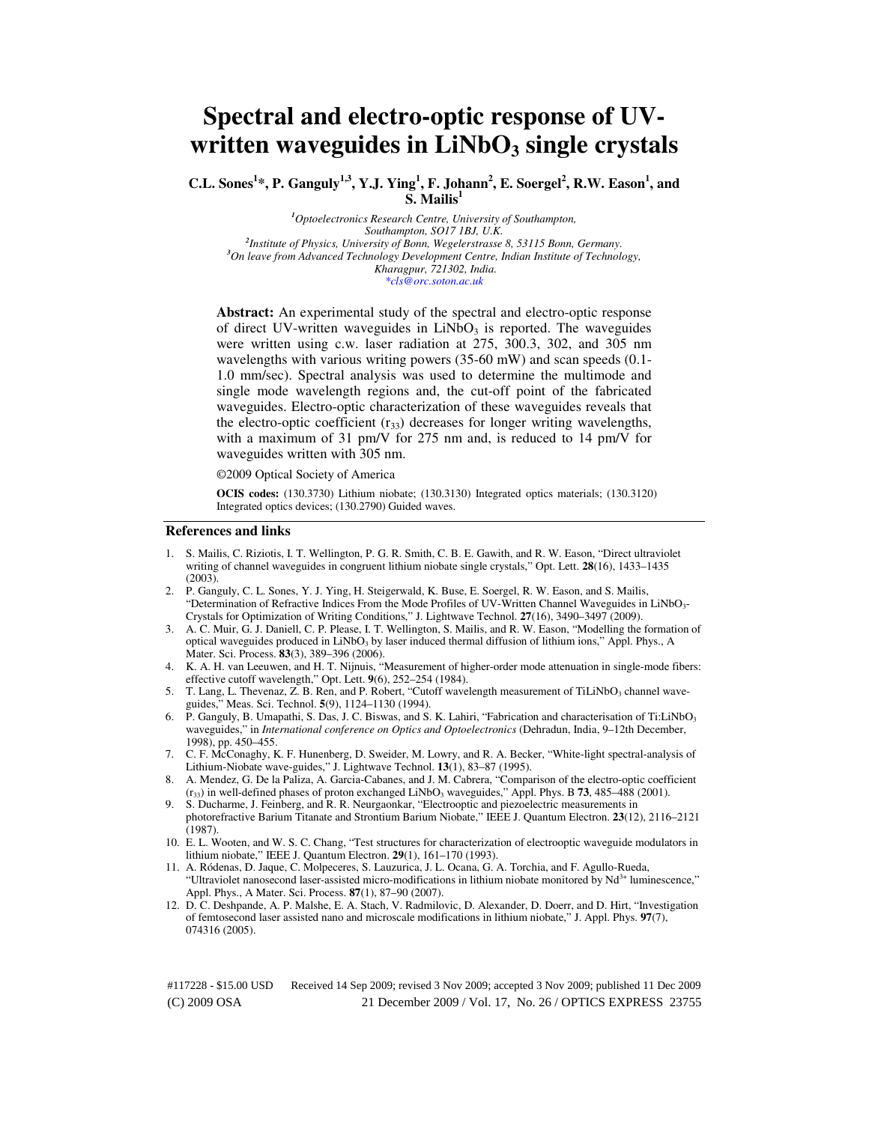# **Spectral and electro-optic response of UVwritten waveguides in LiNbO3 single crystals**

**C.L. Sones<sup>1</sup> \*, P. Ganguly1,3, Y.J. Ying<sup>1</sup> , F. Johann<sup>2</sup> , E. Soergel<sup>2</sup> , R.W. Eason<sup>1</sup> , and S. Mailis<sup>1</sup>**

*<sup>1</sup>Optoelectronics Research Centre, University of Southampton, Southampton, SO17 1BJ, U.K. 2 Institute of Physics, University of Bonn, Wegelerstrasse 8, 53115 Bonn, Germany. <sup>3</sup>On leave from Advanced Technology Development Centre, Indian Institute of Technology, Kharagpur, 721302, India. \*cls@orc.soton.ac.uk* 

**Abstract:** An experimental study of the spectral and electro-optic response of direct UV-written waveguides in  $LiNbO<sub>3</sub>$  is reported. The waveguides were written using c.w. laser radiation at 275, 300.3, 302, and 305 nm wavelengths with various writing powers (35-60 mW) and scan speeds (0.1- 1.0 mm/sec). Spectral analysis was used to determine the multimode and single mode wavelength regions and, the cut-off point of the fabricated waveguides. Electro-optic characterization of these waveguides reveals that the electro-optic coefficient  $(r_{33})$  decreases for longer writing wavelengths, with a maximum of 31 pm/V for 275 nm and, is reduced to 14 pm/V for waveguides written with 305 nm.

©2009 Optical Society of America

**OCIS codes:** (130.3730) Lithium niobate; (130.3130) Integrated optics materials; (130.3120) Integrated optics devices; (130.2790) Guided waves.

# **References and links**

- 1. S. Mailis, C. Riziotis, I. T. Wellington, P. G. R. Smith, C. B. E. Gawith, and R. W. Eason, "Direct ultraviolet writing of channel waveguides in congruent lithium niobate single crystals," Opt. Lett. **28**(16), 1433–1435 (2003).
- 2. P. Ganguly, C. L. Sones, Y. J. Ying, H. Steigerwald, K. Buse, E. Soergel, R. W. Eason, and S. Mailis, "Determination of Refractive Indices From the Mode Profiles of UV-Written Channel Waveguides in LiNbO3-Crystals for Optimization of Writing Conditions," J. Lightwave Technol. **27**(16), 3490–3497 (2009).
- 3. A. C. Muir, G. J. Daniell, C. P. Please, I. T. Wellington, S. Mailis, and R. W. Eason, "Modelling the formation of optical waveguides produced in LiNbO<sub>3</sub> by laser induced thermal diffusion of lithium ions," Appl. Phys., A Mater. Sci. Process. **83**(3), 389–396 (2006).
- 4. K. A. H. van Leeuwen, and H. T. Nijnuis, "Measurement of higher-order mode attenuation in single-mode fibers: effective cutoff wavelength," Opt. Lett. **9**(6), 252–254 (1984).
- 5. T. Lang, L. Thevenaz, Z. B. Ren, and P. Robert, "Cutoff wavelength measurement of TiLiNbO3 channel waveguides," Meas. Sci. Technol. **5**(9), 1124–1130 (1994).
- 6. P. Ganguly, B. Umapathi, S. Das, J. C. Biswas, and S. K. Lahiri, "Fabrication and characterisation of Ti:LiNbO3 waveguides," in *International conference on Optics and Optoelectronics* (Dehradun, India, 9–12th December, 1998), pp. 450–455.
- 7. C. F. McConaghy, K. F. Hunenberg, D. Sweider, M. Lowry, and R. A. Becker, "White-light spectral-analysis of Lithium-Niobate wave-guides," J. Lightwave Technol. **13**(1), 83–87 (1995).
- 8. A. Mendez, G. De la Paliza, A. Garcia-Cabanes, and J. M. Cabrera, "Comparison of the electro-optic coefficient  $(r_{33})$  in well-defined phases of proton exchanged LiNbO<sub>3</sub> waveguides," Appl. Phys. B **73**, 485–488 (2001).
- 9. S. Ducharme, J. Feinberg, and R. R. Neurgaonkar, "Electrooptic and piezoelectric measurements in photorefractive Barium Titanate and Strontium Barium Niobate," IEEE J. Quantum Electron. **23**(12), 2116–2121 (1987).
- 10. E. L. Wooten, and W. S. C. Chang, "Test structures for characterization of electrooptic waveguide modulators in lithium niobate," IEEE J. Quantum Electron. **29**(1), 161–170 (1993).
- 11. A. Ródenas, D. Jaque, C. Molpeceres, S. Lauzurica, J. L. Ocana, G. A. Torchia, and F. Agullo-Rueda, "Ultraviolet nanosecond laser-assisted micro-modifications in lithium niobate monitored by Nd<sup>3+</sup> luminescence," Appl. Phys., A Mater. Sci. Process. **87**(1), 87–90 (2007).
- 12. D. C. Deshpande, A. P. Malshe, E. A. Stach, V. Radmilovic, D. Alexander, D. Doerr, and D. Hirt, "Investigation of femtosecond laser assisted nano and microscale modifications in lithium niobate," J. Appl. Phys. **97**(7), 074316 (2005).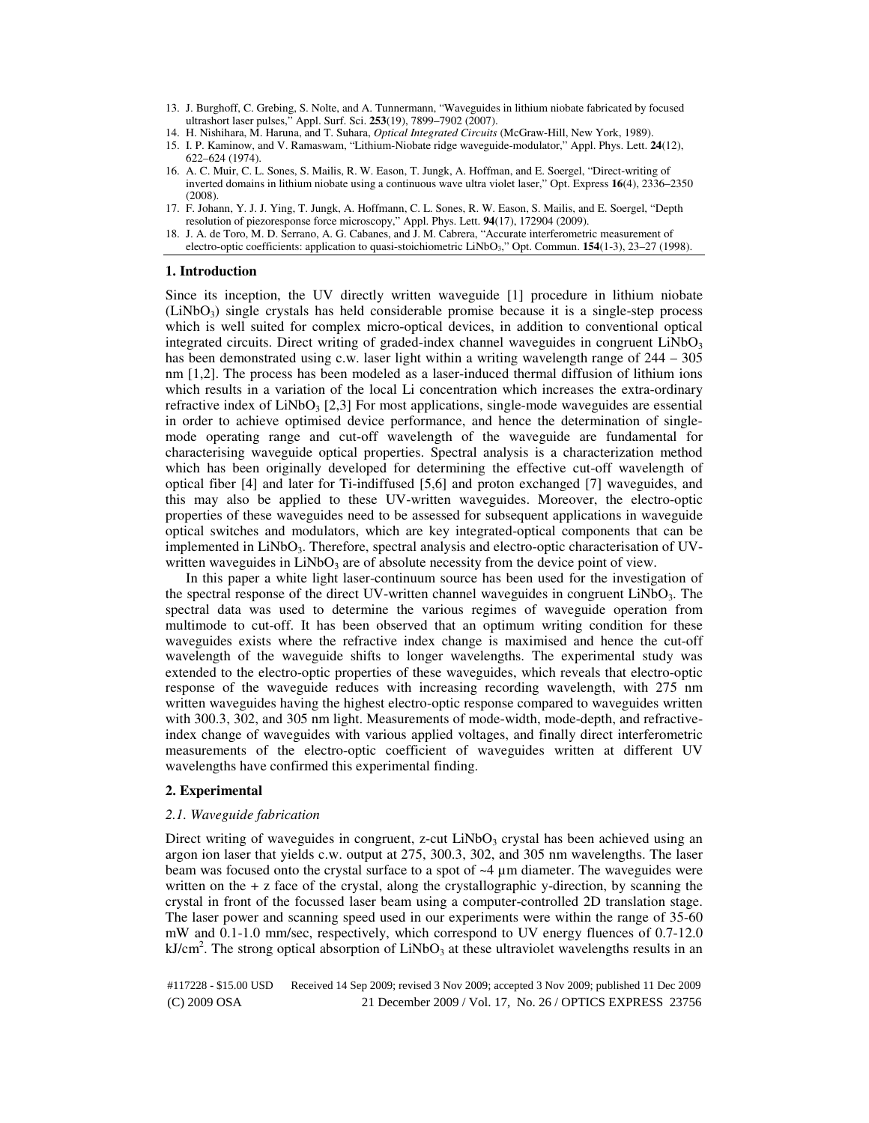- 13. J. Burghoff, C. Grebing, S. Nolte, and A. Tunnermann, "Waveguides in lithium niobate fabricated by focused ultrashort laser pulses," Appl. Surf. Sci. **253**(19), 7899–7902 (2007).
- 14. H. Nishihara, M. Haruna, and T. Suhara, *Optical Integrated Circuits* (McGraw-Hill, New York, 1989).
- 15. I. P. Kaminow, and V. Ramaswam, "Lithium-Niobate ridge waveguide-modulator," Appl. Phys. Lett. **24**(12), 622–624 (1974).
- 16. A. C. Muir, C. L. Sones, S. Mailis, R. W. Eason, T. Jungk, A. Hoffman, and E. Soergel, "Direct-writing of inverted domains in lithium niobate using a continuous wave ultra violet laser," Opt. Express **16**(4), 2336–2350 (2008).
- 17. F. Johann, Y. J. J. Ying, T. Jungk, A. Hoffmann, C. L. Sones, R. W. Eason, S. Mailis, and E. Soergel, "Depth resolution of piezoresponse force microscopy," Appl. Phys. Lett. **94**(17), 172904 (2009).
- 18. J. A. de Toro, M. D. Serrano, A. G. Cabanes, and J. M. Cabrera, "Accurate interferometric measurement of electro-optic coefficients: application to quasi-stoichiometric LiNbO3," Opt. Commun. **154**(1-3), 23–27 (1998).

# **1. Introduction**

Since its inception, the UV directly written waveguide [1] procedure in lithium niobate  $(LINbO<sub>3</sub>)$  single crystals has held considerable promise because it is a single-step process which is well suited for complex micro-optical devices, in addition to conventional optical integrated circuits. Direct writing of graded-index channel waveguides in congruent  $LiNbO<sub>3</sub>$ has been demonstrated using c.w. laser light within a writing wavelength range of 244 – 305 nm [1,2]. The process has been modeled as a laser-induced thermal diffusion of lithium ions which results in a variation of the local Li concentration which increases the extra-ordinary refractive index of  $LiNbO<sub>3</sub>$  [2,3] For most applications, single-mode waveguides are essential in order to achieve optimised device performance, and hence the determination of singlemode operating range and cut-off wavelength of the waveguide are fundamental for characterising waveguide optical properties. Spectral analysis is a characterization method which has been originally developed for determining the effective cut-off wavelength of optical fiber [4] and later for Ti-indiffused [5,6] and proton exchanged [7] waveguides, and this may also be applied to these UV-written waveguides. Moreover, the electro-optic properties of these waveguides need to be assessed for subsequent applications in waveguide optical switches and modulators, which are key integrated-optical components that can be implemented in  $LiNbO<sub>3</sub>$ . Therefore, spectral analysis and electro-optic characterisation of UVwritten waveguides in  $LiNbO<sub>3</sub>$  are of absolute necessity from the device point of view.

In this paper a white light laser-continuum source has been used for the investigation of the spectral response of the direct UV-written channel waveguides in congruent  $LiNbO<sub>3</sub>$ . The spectral data was used to determine the various regimes of waveguide operation from multimode to cut-off. It has been observed that an optimum writing condition for these waveguides exists where the refractive index change is maximised and hence the cut-off wavelength of the waveguide shifts to longer wavelengths. The experimental study was extended to the electro-optic properties of these waveguides, which reveals that electro-optic response of the waveguide reduces with increasing recording wavelength, with 275 nm written waveguides having the highest electro-optic response compared to waveguides written with 300.3, 302, and 305 nm light. Measurements of mode-width, mode-depth, and refractiveindex change of waveguides with various applied voltages, and finally direct interferometric measurements of the electro-optic coefficient of waveguides written at different UV wavelengths have confirmed this experimental finding.

# **2. Experimental**

# *2.1. Waveguide fabrication*

Direct writing of waveguides in congruent, z-cut  $LiNbO<sub>3</sub>$  crystal has been achieved using an argon ion laser that yields c.w. output at 275, 300.3, 302, and 305 nm wavelengths. The laser beam was focused onto the crystal surface to a spot of ~4 µm diameter. The waveguides were written on the  $+ z$  face of the crystal, along the crystallographic y-direction, by scanning the crystal in front of the focussed laser beam using a computer-controlled 2D translation stage. The laser power and scanning speed used in our experiments were within the range of 35-60 mW and 0.1-1.0 mm/sec, respectively, which correspond to UV energy fluences of 0.7-12.0  $kJ/cm<sup>2</sup>$ . The strong optical absorption of LiNbO<sub>3</sub> at these ultraviolet wavelengths results in an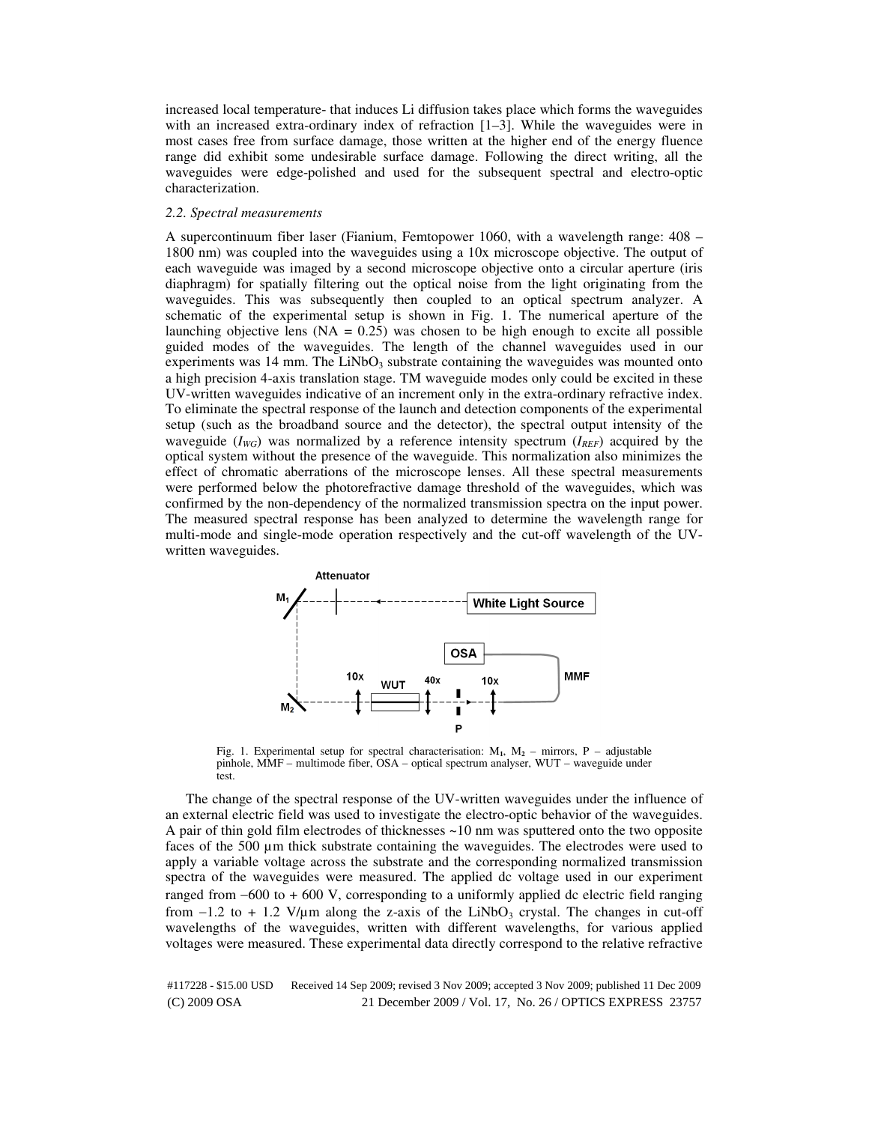increased local temperature- that induces Li diffusion takes place which forms the waveguides with an increased extra-ordinary index of refraction [1-3]. While the waveguides were in most cases free from surface damage, those written at the higher end of the energy fluence range did exhibit some undesirable surface damage. Following the direct writing, all the waveguides were edge-polished and used for the subsequent spectral and electro-optic characterization.

#### *2.2. Spectral measurements*

A supercontinuum fiber laser (Fianium, Femtopower 1060, with a wavelength range: 408 – 1800 nm) was coupled into the waveguides using a 10x microscope objective. The output of each waveguide was imaged by a second microscope objective onto a circular aperture (iris diaphragm) for spatially filtering out the optical noise from the light originating from the waveguides. This was subsequently then coupled to an optical spectrum analyzer. A schematic of the experimental setup is shown in Fig. 1. The numerical aperture of the launching objective lens  $(NA = 0.25)$  was chosen to be high enough to excite all possible guided modes of the waveguides. The length of the channel waveguides used in our experiments was  $14 \text{ mm}$ . The LiNbO<sub>3</sub> substrate containing the waveguides was mounted onto a high precision 4-axis translation stage. TM waveguide modes only could be excited in these UV-written waveguides indicative of an increment only in the extra-ordinary refractive index. To eliminate the spectral response of the launch and detection components of the experimental setup (such as the broadband source and the detector), the spectral output intensity of the waveguide  $(I_{WG})$  was normalized by a reference intensity spectrum  $(I_{REF})$  acquired by the optical system without the presence of the waveguide. This normalization also minimizes the effect of chromatic aberrations of the microscope lenses. All these spectral measurements were performed below the photorefractive damage threshold of the waveguides, which was confirmed by the non-dependency of the normalized transmission spectra on the input power. The measured spectral response has been analyzed to determine the wavelength range for multi-mode and single-mode operation respectively and the cut-off wavelength of the UVwritten waveguides.



Fig. 1. Experimental setup for spectral characterisation: M**1**, M**2** – mirrors, P – adjustable pinhole, MMF – multimode fiber, OSA – optical spectrum analyser, WUT – waveguide under test.

The change of the spectral response of the UV-written waveguides under the influence of an external electric field was used to investigate the electro-optic behavior of the waveguides. A pair of thin gold film electrodes of thicknesses ~10 nm was sputtered onto the two opposite faces of the 500 µm thick substrate containing the waveguides. The electrodes were used to apply a variable voltage across the substrate and the corresponding normalized transmission spectra of the waveguides were measured. The applied dc voltage used in our experiment ranged from −600 to + 600 V, corresponding to a uniformly applied dc electric field ranging from  $-1.2$  to + 1.2 V/ $\mu$ m along the z-axis of the LiNbO<sub>3</sub> crystal. The changes in cut-off wavelengths of the waveguides, written with different wavelengths, for various applied voltages were measured. These experimental data directly correspond to the relative refractive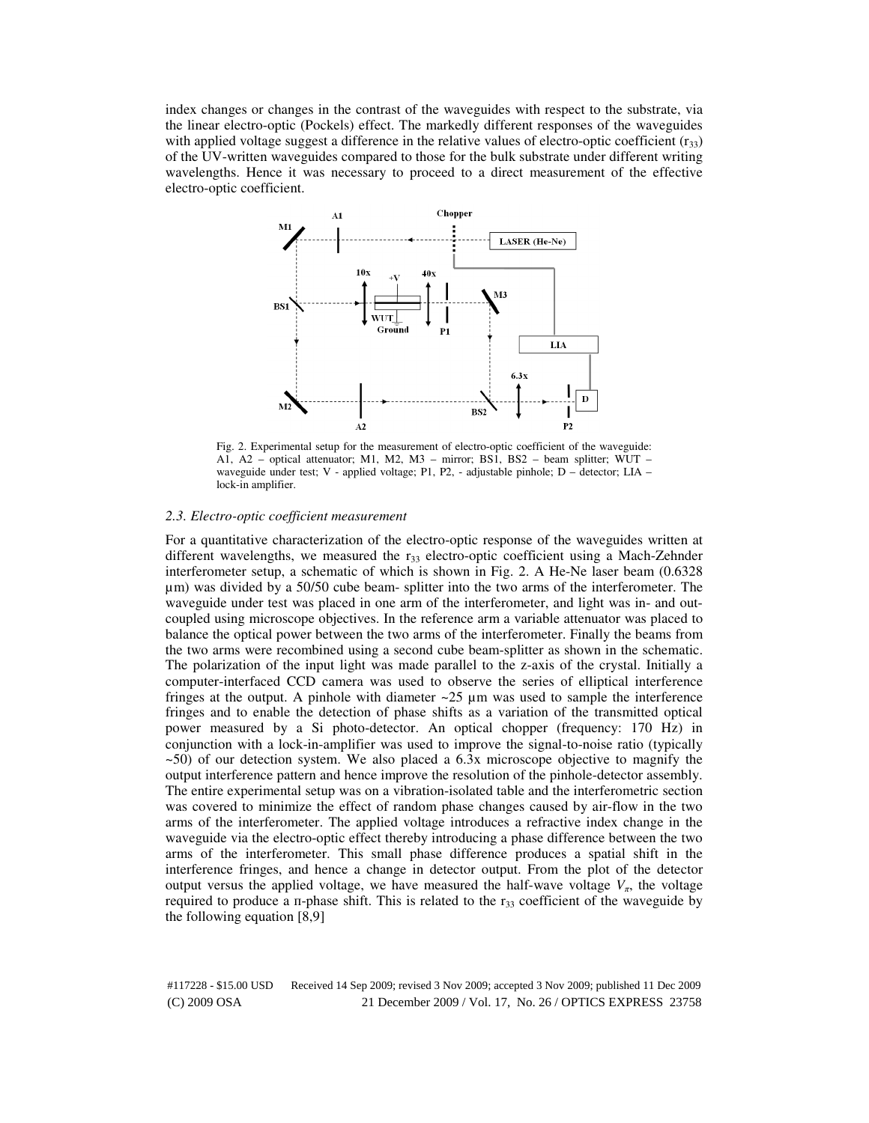index changes or changes in the contrast of the waveguides with respect to the substrate, via the linear electro-optic (Pockels) effect. The markedly different responses of the waveguides with applied voltage suggest a difference in the relative values of electro-optic coefficient  $(r_{33})$ of the UV-written waveguides compared to those for the bulk substrate under different writing wavelengths. Hence it was necessary to proceed to a direct measurement of the effective electro-optic coefficient.



Fig. 2. Experimental setup for the measurement of electro-optic coefficient of the waveguide: A1, A2 – optical attenuator; M1, M2, M3 – mirror; BS1, BS2 – beam splitter; WUT – waveguide under test; V - applied voltage; P1, P2, - adjustable pinhole; D – detector; LIA – lock-in amplifier.

#### *2.3. Electro-optic coefficient measurement*

For a quantitative characterization of the electro-optic response of the waveguides written at different wavelengths, we measured the  $r_{33}$  electro-optic coefficient using a Mach-Zehnder interferometer setup, a schematic of which is shown in Fig. 2. A He-Ne laser beam (0.6328 µm) was divided by a 50/50 cube beam- splitter into the two arms of the interferometer. The waveguide under test was placed in one arm of the interferometer, and light was in- and outcoupled using microscope objectives. In the reference arm a variable attenuator was placed to balance the optical power between the two arms of the interferometer. Finally the beams from the two arms were recombined using a second cube beam-splitter as shown in the schematic. The polarization of the input light was made parallel to the z-axis of the crystal. Initially a computer-interfaced CCD camera was used to observe the series of elliptical interference fringes at the output. A pinhole with diameter  $\sim$  25  $\mu$ m was used to sample the interference fringes and to enable the detection of phase shifts as a variation of the transmitted optical power measured by a Si photo-detector. An optical chopper (frequency: 170 Hz) in conjunction with a lock-in-amplifier was used to improve the signal-to-noise ratio (typically ~50) of our detection system. We also placed a 6.3x microscope objective to magnify the output interference pattern and hence improve the resolution of the pinhole-detector assembly. The entire experimental setup was on a vibration-isolated table and the interferometric section was covered to minimize the effect of random phase changes caused by air-flow in the two arms of the interferometer. The applied voltage introduces a refractive index change in the waveguide via the electro-optic effect thereby introducing a phase difference between the two arms of the interferometer. This small phase difference produces a spatial shift in the interference fringes, and hence a change in detector output. From the plot of the detector output versus the applied voltage, we have measured the half-wave voltage  $V_\pi$ , the voltage required to produce a  $\pi$ -phase shift. This is related to the  $r_{33}$  coefficient of the waveguide by the following equation [8,9]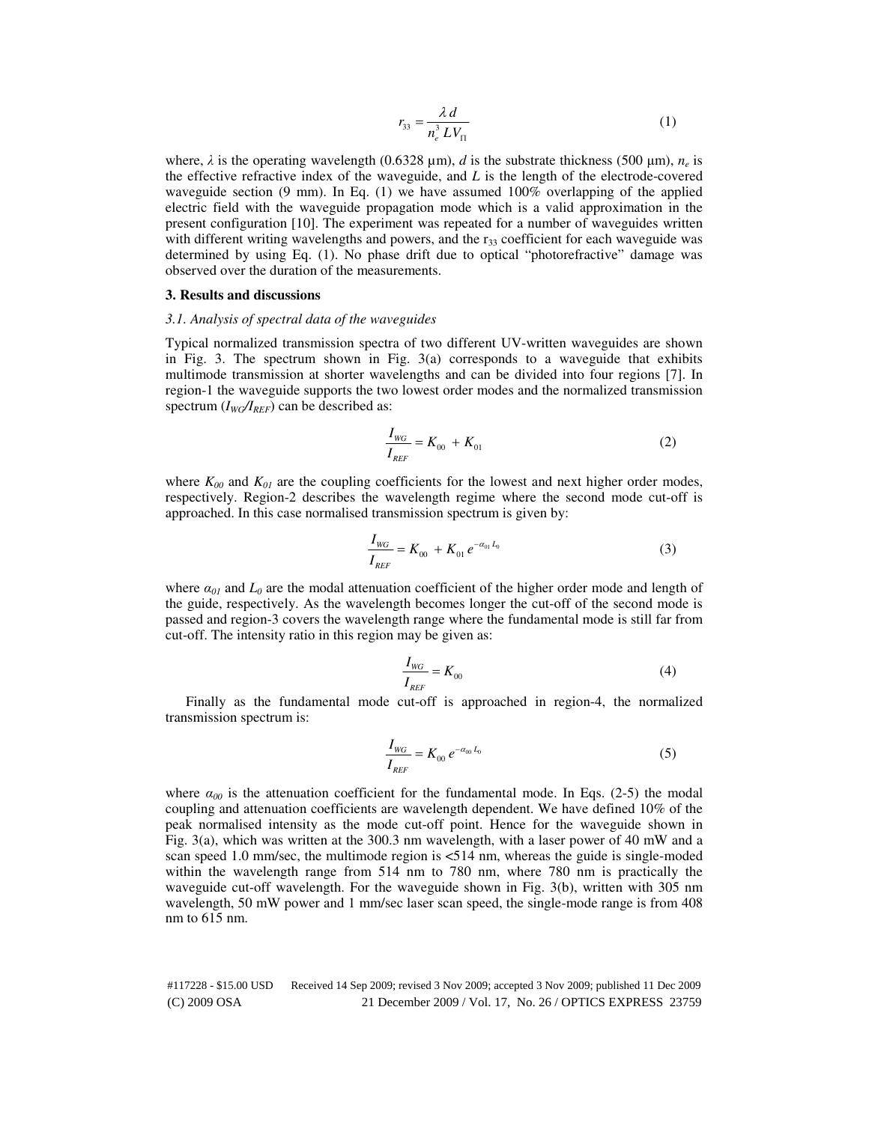$$
r_{33} = \frac{\lambda \, d}{n_e^3 \, L V_\Pi} \tag{1}
$$

where,  $\lambda$  is the operating wavelength (0.6328  $\mu$ m), *d* is the substrate thickness (500  $\mu$ m),  $n_e$  is the effective refractive index of the waveguide, and *L* is the length of the electrode-covered waveguide section (9 mm). In Eq. (1) we have assumed 100% overlapping of the applied electric field with the waveguide propagation mode which is a valid approximation in the present configuration [10]. The experiment was repeated for a number of waveguides written with different writing wavelengths and powers, and the  $r_{33}$  coefficient for each waveguide was determined by using Eq. (1). No phase drift due to optical "photorefractive" damage was observed over the duration of the measurements.

# **3. Results and discussions**

#### *3.1. Analysis of spectral data of the waveguides*

Typical normalized transmission spectra of two different UV-written waveguides are shown in Fig. 3. The spectrum shown in Fig.  $3(a)$  corresponds to a waveguide that exhibits multimode transmission at shorter wavelengths and can be divided into four regions [7]. In region-1 the waveguide supports the two lowest order modes and the normalized transmission spectrum  $(I_{WG}/I_{REF})$  can be described as:

$$
\frac{I_{WG}}{I_{REF}} = K_{00} + K_{01}
$$
 (2)

where  $K_{00}$  and  $K_{01}$  are the coupling coefficients for the lowest and next higher order modes, respectively. Region-2 describes the wavelength regime where the second mode cut-off is approached. In this case normalised transmission spectrum is given by:

$$
\frac{I_{WG}}{I_{REF}} = K_{00} + K_{01} e^{-\alpha_{01} L_0}
$$
\n(3)

where  $\alpha_{0l}$  and  $L_0$  are the modal attenuation coefficient of the higher order mode and length of the guide, respectively. As the wavelength becomes longer the cut-off of the second mode is passed and region-3 covers the wavelength range where the fundamental mode is still far from cut-off. The intensity ratio in this region may be given as:

$$
\frac{I_{\text{wc}}}{I_{\text{REF}}} = K_{00} \tag{4}
$$

Finally as the fundamental mode cut-off is approached in region-4, the normalized transmission spectrum is:

$$
\frac{I_{\text{WG}}}{I_{\text{REF}}} = K_{00} e^{-\alpha_{00} L_0}
$$
\n(5)

where  $\alpha_{00}$  is the attenuation coefficient for the fundamental mode. In Eqs. (2-5) the modal coupling and attenuation coefficients are wavelength dependent. We have defined 10% of the peak normalised intensity as the mode cut-off point. Hence for the waveguide shown in Fig. 3(a), which was written at the 300.3 nm wavelength, with a laser power of 40 mW and a scan speed 1.0 mm/sec, the multimode region is <514 nm, whereas the guide is single-moded within the wavelength range from 514 nm to 780 nm, where 780 nm is practically the waveguide cut-off wavelength. For the waveguide shown in Fig. 3(b), written with 305 nm wavelength, 50 mW power and 1 mm/sec laser scan speed, the single-mode range is from 408 nm to 615 nm.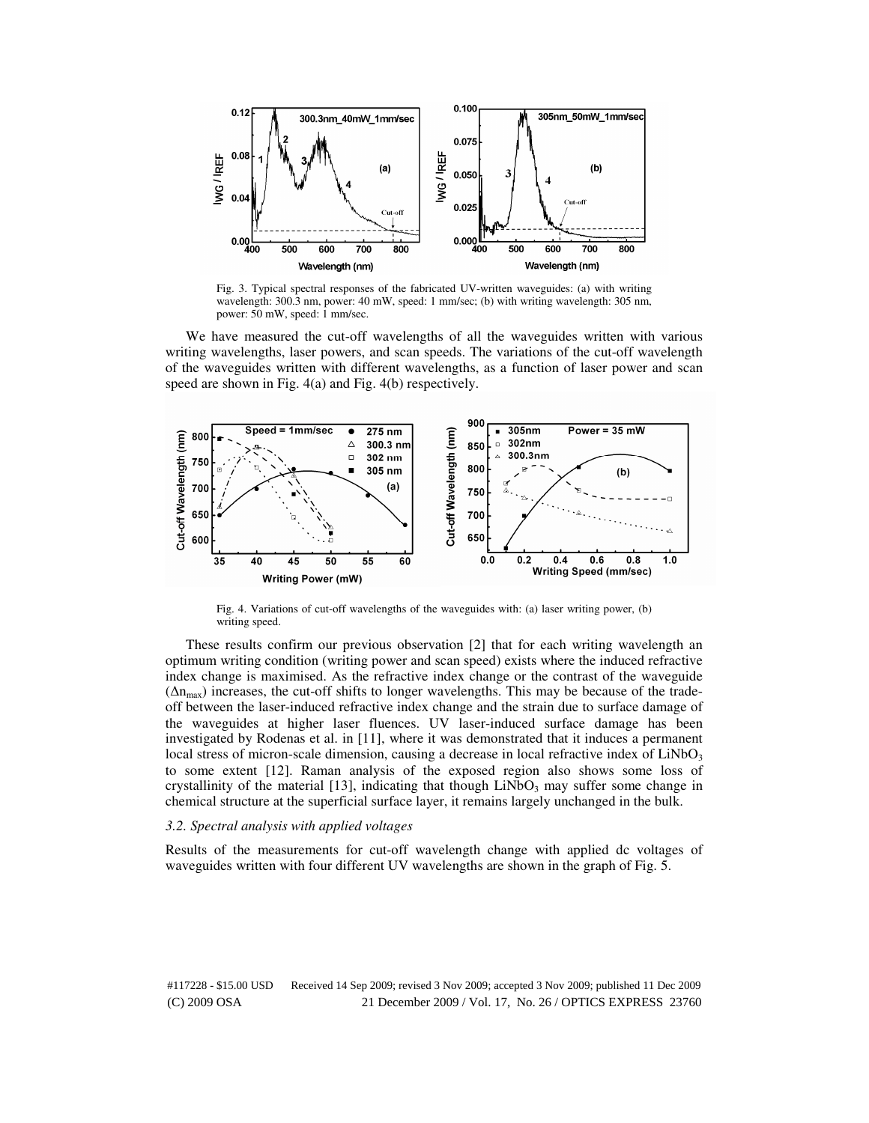

Fig. 3. Typical spectral responses of the fabricated UV-written waveguides: (a) with writing wavelength: 300.3 nm, power: 40 mW, speed: 1 mm/sec; (b) with writing wavelength: 305 nm, power: 50 mW, speed: 1 mm/sec.

We have measured the cut-off wavelengths of all the waveguides written with various writing wavelengths, laser powers, and scan speeds. The variations of the cut-off wavelength of the waveguides written with different wavelengths, as a function of laser power and scan speed are shown in Fig. 4(a) and Fig. 4(b) respectively.



Fig. 4. Variations of cut-off wavelengths of the waveguides with: (a) laser writing power, (b) writing speed.

These results confirm our previous observation [2] that for each writing wavelength an optimum writing condition (writing power and scan speed) exists where the induced refractive index change is maximised. As the refractive index change or the contrast of the waveguide  $(\Delta n_{\text{max}})$  increases, the cut-off shifts to longer wavelengths. This may be because of the tradeoff between the laser-induced refractive index change and the strain due to surface damage of the waveguides at higher laser fluences. UV laser-induced surface damage has been investigated by Rodenas et al. in [11], where it was demonstrated that it induces a permanent local stress of micron-scale dimension, causing a decrease in local refractive index of  $LiNbO<sub>3</sub>$ to some extent [12]. Raman analysis of the exposed region also shows some loss of crystallinity of the material [13], indicating that though LiNbO<sub>3</sub> may suffer some change in chemical structure at the superficial surface layer, it remains largely unchanged in the bulk.

#### *3.2. Spectral analysis with applied voltages*

Results of the measurements for cut-off wavelength change with applied dc voltages of waveguides written with four different UV wavelengths are shown in the graph of Fig. 5.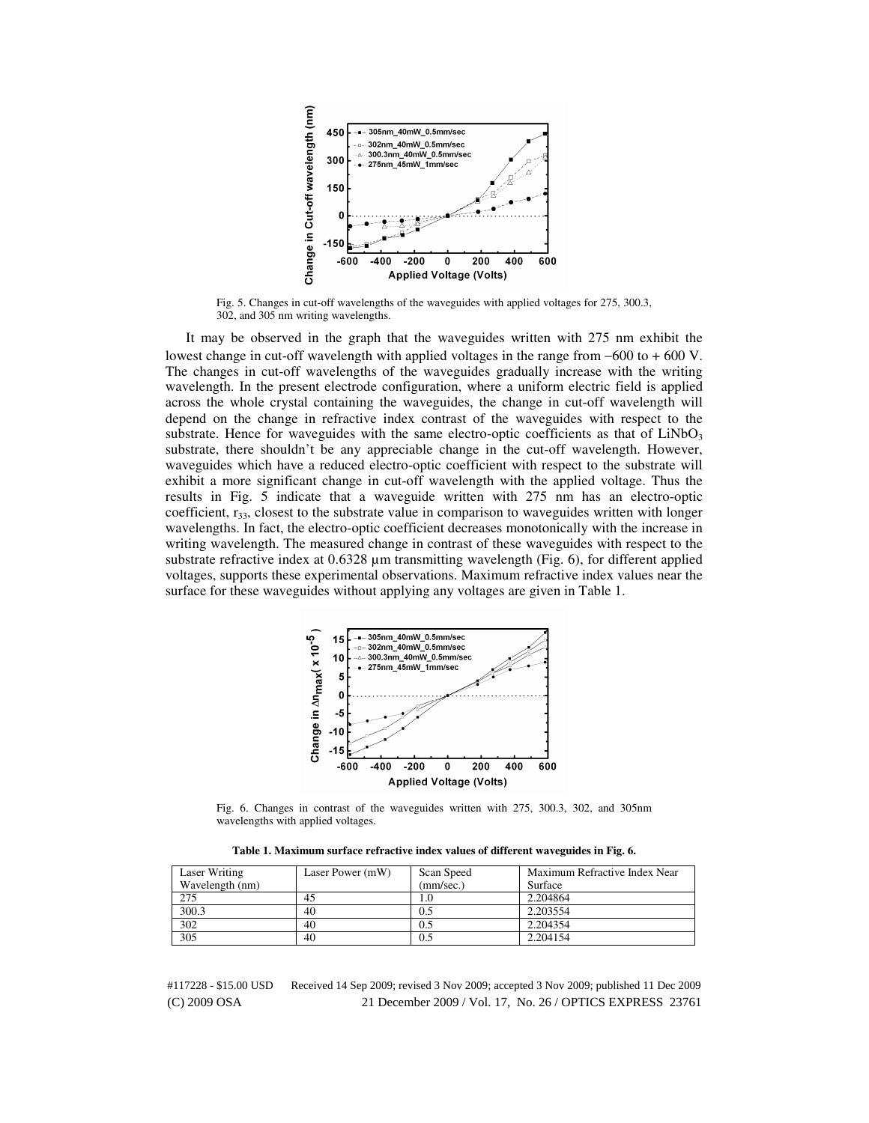

Fig. 5. Changes in cut-off wavelengths of the waveguides with applied voltages for 275, 300.3, 302, and 305 nm writing wavelengths.

It may be observed in the graph that the waveguides written with 275 nm exhibit the lowest change in cut-off wavelength with applied voltages in the range from −600 to + 600 V. The changes in cut-off wavelengths of the waveguides gradually increase with the writing wavelength. In the present electrode configuration, where a uniform electric field is applied across the whole crystal containing the waveguides, the change in cut-off wavelength will depend on the change in refractive index contrast of the waveguides with respect to the substrate. Hence for waveguides with the same electro-optic coefficients as that of  $LiNbO<sub>3</sub>$ substrate, there shouldn't be any appreciable change in the cut-off wavelength. However, waveguides which have a reduced electro-optic coefficient with respect to the substrate will exhibit a more significant change in cut-off wavelength with the applied voltage. Thus the results in Fig. 5 indicate that a waveguide written with 275 nm has an electro-optic coefficient,  $r_{33}$ , closest to the substrate value in comparison to waveguides written with longer wavelengths. In fact, the electro-optic coefficient decreases monotonically with the increase in writing wavelength. The measured change in contrast of these waveguides with respect to the substrate refractive index at 0.6328 µm transmitting wavelength (Fig. 6), for different applied voltages, supports these experimental observations. Maximum refractive index values near the surface for these waveguides without applying any voltages are given in Table 1.



Fig. 6. Changes in contrast of the waveguides written with 275, 300.3, 302, and 305nm wavelengths with applied voltages.

**Table 1. Maximum surface refractive index values of different waveguides in Fig. 6.** 

| Laser Writing   | Laser Power (mW) | Scan Speed | Maximum Refractive Index Near |
|-----------------|------------------|------------|-------------------------------|
| Wavelength (nm) |                  | (mm/sec.)  | Surface                       |
| 275             | 45               | 1.0        | 2.204864                      |
| 300.3           | 40               | 0.5        | 2.203554                      |
| 302             | 40               | 0.5        | 2.204354                      |
| 305             | 40               | 0.5        | 2.204154                      |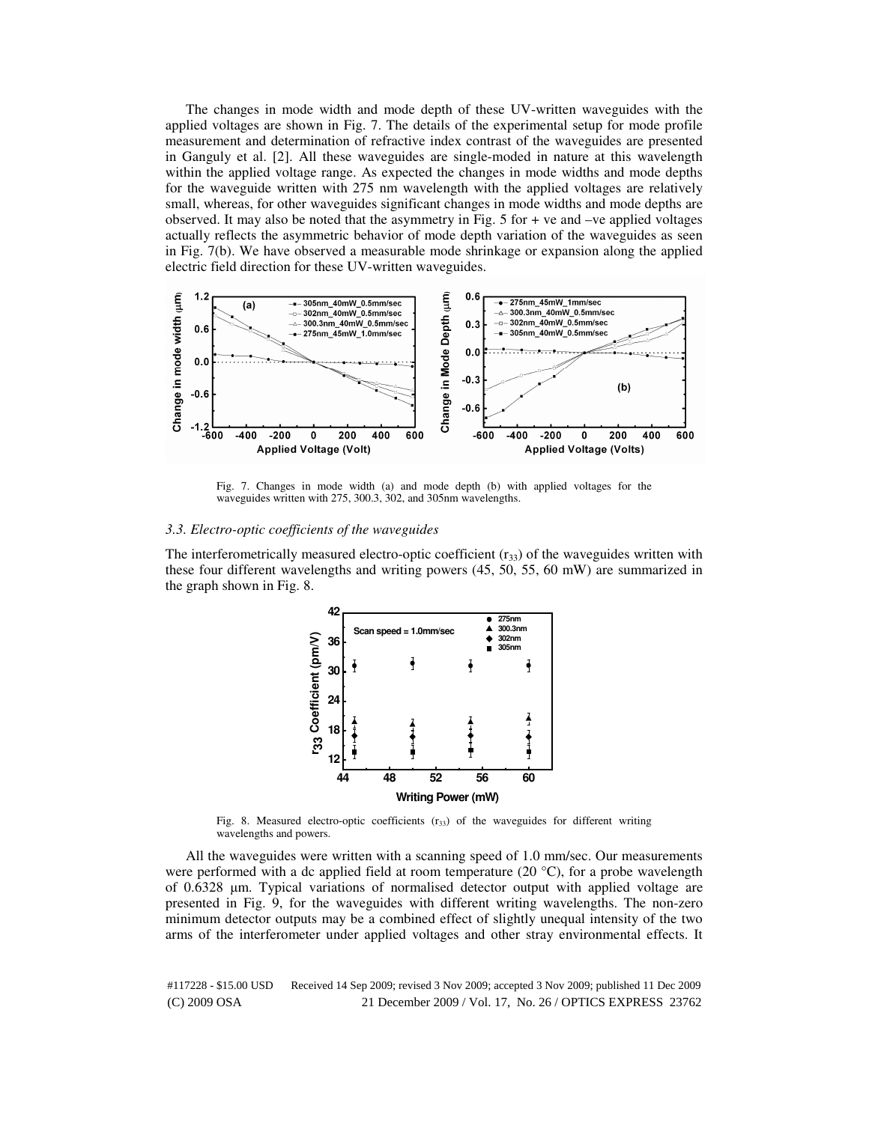The changes in mode width and mode depth of these UV-written waveguides with the applied voltages are shown in Fig. 7. The details of the experimental setup for mode profile measurement and determination of refractive index contrast of the waveguides are presented in Ganguly et al. [2]. All these waveguides are single-moded in nature at this wavelength within the applied voltage range. As expected the changes in mode widths and mode depths for the waveguide written with 275 nm wavelength with the applied voltages are relatively small, whereas, for other waveguides significant changes in mode widths and mode depths are observed. It may also be noted that the asymmetry in Fig.  $5$  for  $+$  ve and  $-$ ve applied voltages actually reflects the asymmetric behavior of mode depth variation of the waveguides as seen in Fig. 7(b). We have observed a measurable mode shrinkage or expansion along the applied electric field direction for these UV-written waveguides.



Fig. 7. Changes in mode width (a) and mode depth (b) with applied voltages for the waveguides written with 275, 300.3, 302, and 305nm wavelengths.

#### *3.3. Electro-optic coefficients of the waveguides*

The interferometrically measured electro-optic coefficient  $(r_{33})$  of the waveguides written with these four different wavelengths and writing powers (45, 50, 55, 60 mW) are summarized in the graph shown in Fig. 8.



Fig. 8. Measured electro-optic coefficients  $(r_{33})$  of the waveguides for different writing wavelengths and powers.

All the waveguides were written with a scanning speed of 1.0 mm/sec. Our measurements were performed with a dc applied field at room temperature (20  $^{\circ}$ C), for a probe wavelength of 0.6328 µm. Typical variations of normalised detector output with applied voltage are presented in Fig. 9, for the waveguides with different writing wavelengths. The non-zero minimum detector outputs may be a combined effect of slightly unequal intensity of the two arms of the interferometer under applied voltages and other stray environmental effects. It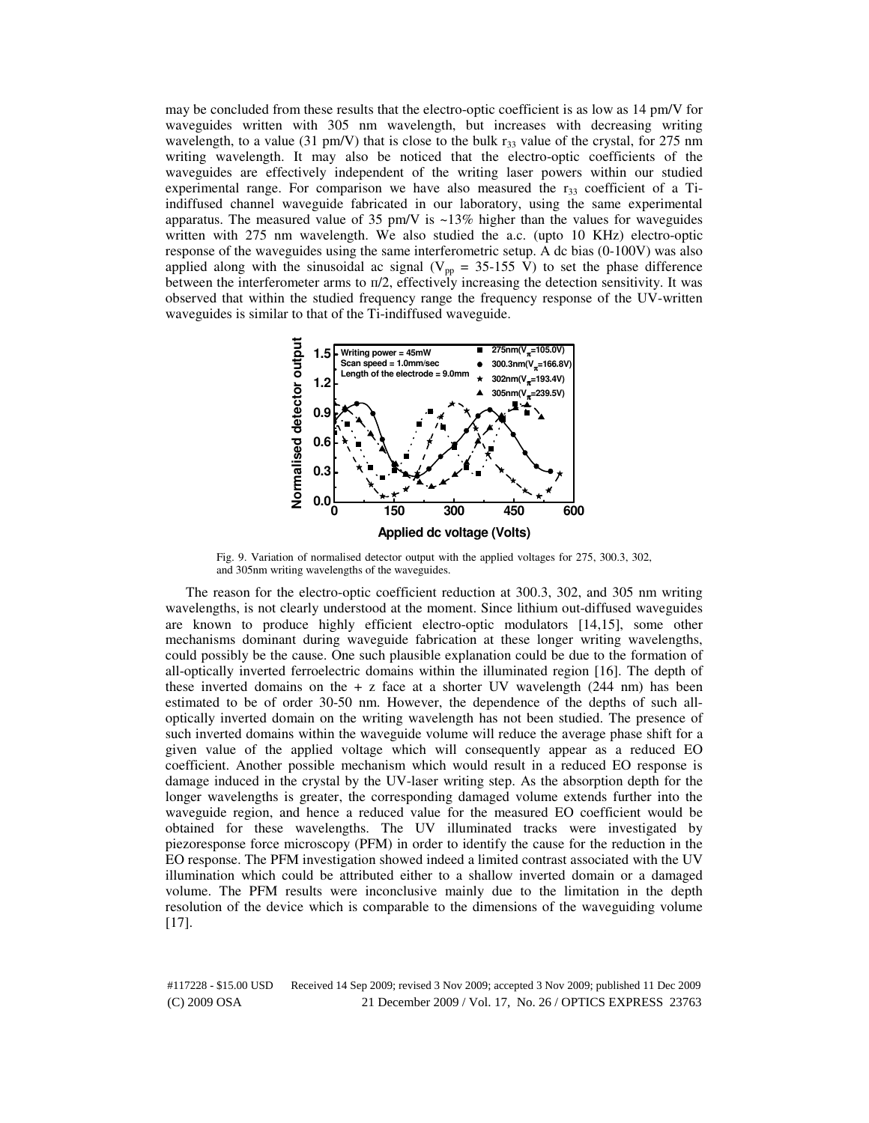may be concluded from these results that the electro-optic coefficient is as low as 14 pm/V for waveguides written with 305 nm wavelength, but increases with decreasing writing wavelength, to a value (31 pm/V) that is close to the bulk  $r_{33}$  value of the crystal, for 275 nm writing wavelength. It may also be noticed that the electro-optic coefficients of the waveguides are effectively independent of the writing laser powers within our studied experimental range. For comparison we have also measured the  $r_{33}$  coefficient of a Tiindiffused channel waveguide fabricated in our laboratory, using the same experimental apparatus. The measured value of 35 pm/V is  $\sim$ 13% higher than the values for waveguides written with 275 nm wavelength. We also studied the a.c. (upto 10 KHz) electro-optic response of the waveguides using the same interferometric setup. A dc bias (0-100V) was also applied along with the sinusoidal ac signal ( $V_{pp} = 35{\text -}155 \text{ V}$ ) to set the phase difference between the interferometer arms to  $\pi/2$ , effectively increasing the detection sensitivity. It was observed that within the studied frequency range the frequency response of the UV-written waveguides is similar to that of the Ti-indiffused waveguide.



Fig. 9. Variation of normalised detector output with the applied voltages for 275, 300.3, 302, and 305nm writing wavelengths of the waveguides.

The reason for the electro-optic coefficient reduction at 300.3, 302, and 305 nm writing wavelengths, is not clearly understood at the moment. Since lithium out-diffused waveguides are known to produce highly efficient electro-optic modulators [14,15], some other mechanisms dominant during waveguide fabrication at these longer writing wavelengths, could possibly be the cause. One such plausible explanation could be due to the formation of all-optically inverted ferroelectric domains within the illuminated region [16]. The depth of these inverted domains on the  $+ z$  face at a shorter UV wavelength (244 nm) has been estimated to be of order 30-50 nm. However, the dependence of the depths of such alloptically inverted domain on the writing wavelength has not been studied. The presence of such inverted domains within the waveguide volume will reduce the average phase shift for a given value of the applied voltage which will consequently appear as a reduced EO coefficient. Another possible mechanism which would result in a reduced EO response is damage induced in the crystal by the UV-laser writing step. As the absorption depth for the longer wavelengths is greater, the corresponding damaged volume extends further into the waveguide region, and hence a reduced value for the measured EO coefficient would be obtained for these wavelengths. The UV illuminated tracks were investigated by piezoresponse force microscopy (PFM) in order to identify the cause for the reduction in the EO response. The PFM investigation showed indeed a limited contrast associated with the UV illumination which could be attributed either to a shallow inverted domain or a damaged volume. The PFM results were inconclusive mainly due to the limitation in the depth resolution of the device which is comparable to the dimensions of the waveguiding volume [17].